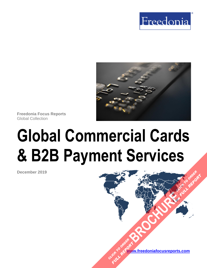



**Freedonia Focus Reports** Global Collection

# **Global Commercial Cards & B2B Payment Services**

**December 2019**

**[www.freedoniafocusreports.com](https://www.freedoniafocusreports.com/redirect.asp?progid=89534&url=/)** CLICK TO ORDER **FULL REPORT** 

**[BROCHURE](https://www.freedoniafocusreports.com/Global-Commercial-Cards-B2B-Payment-Services-FW95075/?progid=89541) CLICK TO ORDER** 

**FULL REPORT**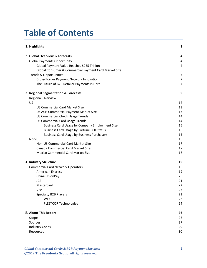# **Table of Contents**

| 1. Highlights                                         | 3  |
|-------------------------------------------------------|----|
| 2. Global Overview & Forecasts                        | 4  |
| <b>Global Payments Opportunity</b>                    | 4  |
| Global Payment Value Reaches \$235 Trillion           | 4  |
| Global Consumer & Commercial Payment Card Market Size | 5  |
| <b>Trends &amp; Opportunities</b>                     | 7  |
| Cross-Border Payment Network Innovation               | 7  |
| The Future of B2B Retailer Payments Is Here           | 7  |
| 3. Regional Segmentation & Forecasts                  | 9  |
| <b>Regional Overview</b>                              | 9  |
| US                                                    | 12 |
| <b>US Commercial Card Market Size</b>                 | 13 |
| US ACH Commercial Payment Market Size                 | 13 |
| <b>US Commercial Check Usage Trends</b>               | 14 |
| <b>US Commercial Card Usage Trends</b>                | 14 |
| Business Card Usage by Company Employment Size        | 15 |
| Business Card Usage by Fortune 500 Status             | 15 |
| <b>Business Card Usage by Business Purchasers</b>     | 15 |
| Non-US                                                | 16 |
| Non-US Commercial Card Market Size                    | 17 |
| Canada Commercial Card Market Size                    | 17 |
| <b>Mexico Commercial Card Market Size</b>             | 18 |
| 4. Industry Structure                                 | 19 |
| <b>Commercial Card Network Operators</b>              | 19 |
| <b>American Express</b>                               | 19 |
| China UnionPay                                        | 20 |
| <b>JCB</b>                                            | 21 |
| Mastercard                                            | 22 |
| Visa                                                  | 23 |
| Specialty B2B Players                                 | 23 |
| <b>WEX</b>                                            | 23 |
| <b>FLEETCOR Technologies</b>                          | 24 |
| 5. About This Report                                  | 26 |
| Scope                                                 | 26 |
| Sources                                               | 27 |
| <b>Industry Codes</b>                                 | 29 |
| Resources                                             | 30 |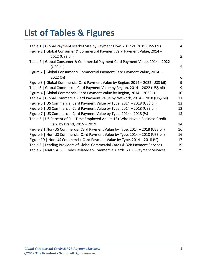# **List of Tables & Figures**

| Table 1   Global Payment Market Size by Payment Flow, 2017 vs. 2019 (US\$ tril)   | 4  |
|-----------------------------------------------------------------------------------|----|
| Figure 1   Global Consumer & Commercial Payment Card Payment Value, 2014 -        |    |
| 2022 (US\$ bil)                                                                   | 5  |
|                                                                                   |    |
| Table 2   Global Consumer & Commercial Payment Card Payment Value, 2014 - 2022    |    |
| (US\$ bil)                                                                        | 5  |
| Figure 2   Global Consumer & Commercial Payment Card Payment Value, 2014 -        |    |
| 2022 (%)                                                                          | 6  |
| Figure 3   Global Commercial Card Payment Value by Region, 2014 - 2022 (US\$ bil) | 9  |
| Table 3   Global Commercial Card Payment Value by Region, 2014 - 2022 (US\$ bil)  | 9  |
| Figure 4   Global Commercial Card Payment Value by Region, 2014 - 2022 (%)        | 10 |
| Table 4   Global Commercial Card Payment Value by Network, 2014 - 2018 (US\$ bil) | 11 |
| Figure 5   US Commercial Card Payment Value by Type, 2014 - 2018 (US\$ bil)       | 12 |
| Figure 6   US Commercial Card Payment Value by Type, 2014 - 2018 (US\$ bil)       | 12 |
| Figure 7   US Commercial Card Payment Value by Type, 2014 - 2018 (%)              | 13 |
| Table 5   US Percent of Full-Time Employed Adults 18+ Who Have a Business Credit  |    |
| Card by Brand, 2015 - 2019                                                        | 14 |
| Figure 8   Non-US Commercial Card Payment Value by Type, 2014 - 2018 (US\$ bil)   | 16 |
| Figure 9   Non-US Commercial Card Payment Value by Type, 2014 - 2018 (US\$ bil)   | 16 |
| Figure 10   Non-US Commercial Card Payment Value by Type, 2014 - 2018 (%)         | 17 |
| Table 6   Leading Providers of Global Commercial Cards & B2B Payment Services     | 19 |
| Table 7   NAICS & SIC Codes Related to Commercial Cards & B2B Payment Services    | 29 |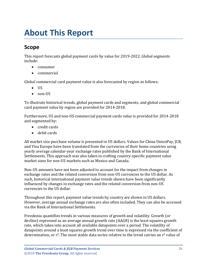## <span id="page-3-0"></span>**About This Report**

## <span id="page-3-1"></span>**Scope**

This report forecasts global payment cards by value for 2019-2022. Global segments include:

- consumer
- commercial

Global commercial card payment value is also forecasted by region as follows:

- US
- non-US

To illustrate historical trends, global payment cards and segments, and global commercial card payment value by region are provided for 2014-2018.

Furthermore, US and non-US commercial payment cards value is provided for 2014-2018 and segmented by:

- credit cards
- debit cards

All market size purchase volume is presented in US dollars. Values for China UnionPay, JCB, and Visa Europe have been translated from the currencies of their home countries using yearly average calendar-year exchange rates published by the Bank of International Settlements. This approach was also taken in crafting country-specific payment value market sizes for non-US markets such as Mexico and Canada.

Non-US amounts have not been adjusted to account for the impact from changes in exchange rates and the related conversion from non-US currencies to the US dollar. As such, historical international payment value trends shown have been significantly influenced by changes in exchange rates and the related conversion from non-US currencies to the US dollar.

Throughout this report, payment value trends by country are shown in US dollars. However, average annual exchange rates are also often included. They can also be accessed via the Bank of International Settlements.

Freedonia quantifies trends in various measures of growth and volatility. Growth (or decline) expressed as an average annual growth rate (AAGR) is the least squares growth rate, which takes into account all available datapoints over a period. The volatility of datapoints around a least squares growth trend over time is expressed via the coefficient of determination, or  $r^2$ . The most stable data series relative to the trend carries an  $r^2$  value of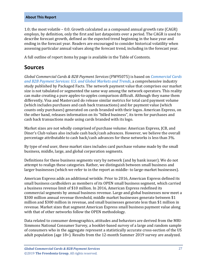1.0; the most volatile – 0.0. Growth calculated as a compound annual growth rate (CAGR) employs, by definition, only the first and last datapoints over a period. The CAGR is used to describe forecast growth, defined as the expected trend beginning in the base year and ending in the forecast year. Readers are encouraged to consider historical volatility when assessing particular annual values along the forecast trend, including in the forecast year.

A full outline of report items by page is available in the Table of Contents.

## <span id="page-4-0"></span>**Sources**

*Global Commercial Cards & B2B Payment Services* (FW95075) is based on *[Commercial Cards](https://www.packagedfacts.com/Commercial-Cards-B2B-Payment-Services-Global-Trends-11th-Edition-12799210/?progid=89534)  and B2B [Payment Services: U.S. and Global Markets and Trends](https://www.packagedfacts.com/Commercial-Cards-B2B-Payment-Services-Global-Trends-11th-Edition-12799210/?progid=89534)*, a comprehensive industry study published by Packaged Facts. The network payment value that comprises our market size is not tabulated or segmented the same way among the network operators. This reality can make creating a pure apples-to-apples comparison difficult. Although they name them differently, Visa and Mastercard do release similar metrics for total card payment volume (which includes purchases and cash back transactions) and for payment value (which counts only purchases) generated on cards branded with their logos. American Express, on the other hand, releases information on its "billed business", its term for purchases and cash back transactions made using cards branded with its logo.

Market sizes are not wholly comprised of purchase volume: American Express, JCB, and Diner's Club values also include cash back/cash advances. However, we believe the overall percentage attributable to cash back/cash advances for these networks is less than 3%.

By type of end user, these market sizes includes card purchase volume made by the small business, middle, large, and global corporation segments.

Definitions for these business segments vary by network (and by bank issuer). We do not attempt to realign these categories. Rather, we distinguish between small business and larger businesses (which we refer to in the report as middle- to large-market businesses).

American Express adds an additional wrinkle. Prior to 2016, American Express defined its small business cardholders as members of its OPEN small business segment, which carried a business revenue limit of \$10 million. In 2016, American Express redefined its commercial segments by annual business revenue. Large and global businesses now meet a \$300 million annual revenue threshold, middle market businesses generate between \$1 million and \$300 million in revenue, and small businesses generate less than \$1 million in revenue. Market sizes that segment American Express small business payment value along with that of other networks follow the OPEN methodology.

Data related to consumer demographics, attitudes and behaviors are derived from the MRI-Simmons National Consumer Survey, a booklet-based survey of a large and random sample of consumers who in the aggregate represent a statistically accurate cross-section of the US adult population (age 18+). Results from the 12-month Summer 2019 survey are analyzed.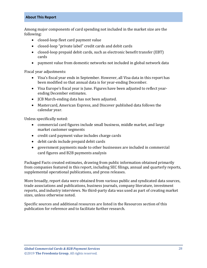## **About This Report**

Among major components of card spending not included in the market size are the following:

- closed-loop fleet card payment value
- closed-loop "private label" credit cards and debit cards
- closed-loop prepaid debit cards, such as electronic benefit transfer (EBT) cards
- payment value from domestic networks not included in global network data

Fiscal year adjustments:

- Visa's fiscal year ends in September. However, all Visa data in this report has been modified so that annual data is for year-ending December.
- Visa Europe's fiscal year is June. Figures have been adjusted to reflect yearending December estimates.
- JCB March-ending data has not been adjusted.
- Mastercard, American Express, and Discover published data follows the calendar year.

Unless specifically noted:

- commercial card figures include small business, middle market, and large market customer segments
- credit card payment value includes charge cards
- debit cards include prepaid debit cards
- government payments made to other businesses are included in commercial card figures and B2B payments analysis

Packaged Facts created estimates, drawing from public information obtained primarily from companies featured in this report, including SEC filings, annual and quarterly reports, supplemental operational publications, and press releases.

More broadly, report data were obtained from various public and syndicated data sources, trade associations and publications, business journals, company literature, investment reports, and industry interviews. No third-party data was used as part of creating market sizes, unless otherwise noted.

Specific sources and additional resources are listed in the Resources section of this publication for reference and to facilitate further research.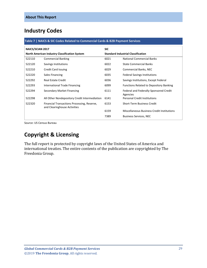## <span id="page-6-0"></span>**Industry Codes**

#### <span id="page-6-1"></span>**Table 7 | NAICS & SIC Codes Related to Commercial Cards & B2B Payment Services**

| <b>NAICS/SCIAN 2017</b>                              |                                                                             | <b>SIC</b>                                |                                                    |
|------------------------------------------------------|-----------------------------------------------------------------------------|-------------------------------------------|----------------------------------------------------|
| <b>North American Industry Classification System</b> |                                                                             | <b>Standard Industrial Classification</b> |                                                    |
| 522110                                               | <b>Commercial Banking</b>                                                   | 6021                                      | National Commercial Banks                          |
| 522120                                               | Savings Institutions                                                        | 6022                                      | <b>State Commercial Banks</b>                      |
| 522210                                               | Credit Card Issuing                                                         | 6029                                      | Commercial Banks, NEC                              |
| 522220                                               | Sales Financing                                                             | 6035                                      | <b>Federal Savings Institutions</b>                |
| 522292                                               | <b>Real Estate Credit</b>                                                   | 6036                                      | Savings Institutions, Except Federal               |
| 522293                                               | International Trade Financing                                               | 6099                                      | <b>Functions Related to Depository Banking</b>     |
| 522294                                               | Secondary Market Financing                                                  | 6111                                      | Federal and Federally-Sponsored Credit<br>Agencies |
| 522298                                               | All Other Nondepository Credit Intermediation                               | 6141                                      | <b>Personal Credit Institutions</b>                |
| 522320                                               | Financial Transactions Processing, Reserve,<br>and Clearinghouse Activities | 6153                                      | Short-Term Business Credit                         |
|                                                      |                                                                             | 6159                                      | <b>Miscellaneous Business Credit Institutions</b>  |
|                                                      |                                                                             | 7389                                      | <b>Business Services, NEC</b>                      |

Source: US Census Bureau

## **Copyright & Licensing**

The full report is protected by copyright laws of the United States of America and international treaties. The entire contents of the publication are copyrighted by The Freedonia Group.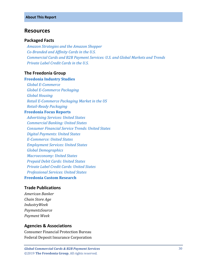## <span id="page-7-0"></span>**Resources**

## **Packaged Facts**

 *[Amazon Strategies and the Amazon Shopper](https://www.packagedfacts.com/Amazon-Strategies-Shopper-Edition-12717673/?progid=91191/?progid=89534) [Co-Branded and Affinity Cards in the U.S.](https://www.packagedfacts.com/prod-toc/Branded-Affinity-Cards-Edition-12538406/?progid=89534) [Commercial Cards and B2B Payment Services: U.S. and Global Markets and Trends](https://www.packagedfacts.com/Commercial-Cards-B2B-Payment-Services-Global-Trends-11th-Edition-12799210/?progid=89534) [Private Label Credit Cards in the U.S.](https://www.packagedfacts.com/Private-Label-Credit-Cards-Edition-12443463/?progid=89534)*

## **The Freedonia Group**

#### **[Freedonia Industry Studies](http://www.freedoniagroup.com/Home.aspx?ReferrerId=FL-Focus)**

 *[Global E-Commerce](http://www.freedoniagroup.com/DocumentDetails.aspx?ReferrerId=FL-FOCUS&studyid=3724) Global [E-Commerce Packaging](http://www.freedoniagroup.com/DocumentDetails.aspx?ReferrerId=FL-FOCUS&studyid=3744) [Global Housing](http://www.freedoniagroup.com/DocumentDetails.aspx?ReferrerId=FL-FOCUS&studyid=3752) [Retail E-Commerce Packaging Market in the US](http://www.freedoniagroup.com/DocumentDetails.aspx?ReferrerId=FL-FOCUS&studyid=3472) [Retail-Ready Packaging](http://www.freedoniagroup.com/DocumentDetails.aspx?ReferrerId=FL-FOCUS&studyid=3713)* **[Freedonia Focus Reports](https://www.freedoniafocusreports.com/redirect.asp?progid=89534&url=/)**  *[Advertising Services: United States](https://www.freedoniafocusreports.com/Advertising-Services-United-States-FF95027/?progid=89534) [Commercial Banking: United States](https://www.freedoniafocusreports.com/Commercial-Banking-United-States-FF95010/?progid=89534) [Consumer Financial Service Trends: United States](https://www.freedoniafocusreports.com/Consumer-Financial-Service-Trends-United-States-FF95068/?progid=89534) [Digital Payments: United States](https://www.freedoniafocusreports.com/Digital-Payments-United-States-FF95071/?progid=89534) [E-Commerce: United States](https://www.freedoniafocusreports.com/E-Commerce-United-States-FF90043/?progid=89534) [Employment Services: United States](https://www.freedoniafocusreports.com/Employment-Services-United-States-FF95011/?progid=89534) [Global Demographics](https://www.freedoniafocusreports.com/Global-Demographics-FW95050/?progid=89534) [Macroeconomy: United States](https://www.freedoniafocusreports.com/Macroeconomy-United-States-FF95051/?progid=89534) [Prepaid Debit Cards: United States](https://www.freedoniafocusreports.com/Prepaid-Debit-Cards-United-States-FF95036/?progid=89534) [Private Label Credit Cards: United States](https://www.freedoniafocusreports.com/Private-Label-Credit-Cards-United-States-FF95073/?progid=89534) [Professional Services: United States](https://www.freedoniafocusreports.com/Professional-Services-United-States-FF95063/?progid=89534)*

## **[Freedonia Custom Research](http://www.freedoniagroup.com/CustomResearch.aspx?ReferrerId=FL-Focus)**

## **Trade Publications**

*American Banker Chain Store Age IndustryWeek PaymentsSource Payment Week*

#### **Agencies & Associations**

Consumer Financial Protection Bureau Federal Deposit Insurance Corporation